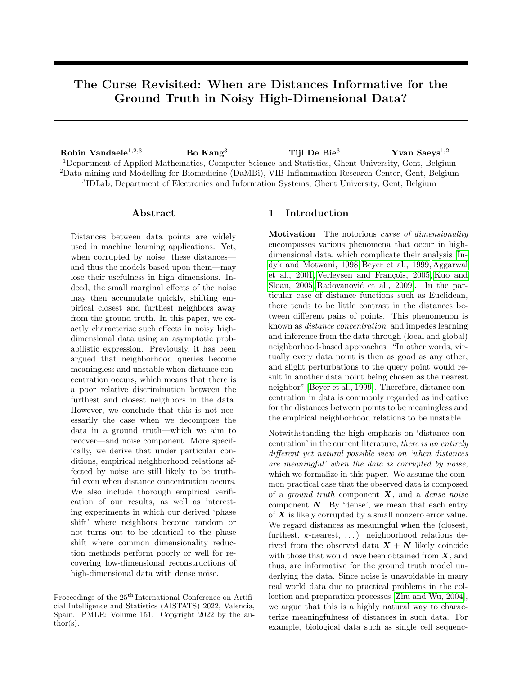# The Curse Revisited: When are Distances Informative for the Ground Truth in Noisy High-Dimensional Data?

Robin Vandaele<sup>1,2,3</sup> Bo Kang<sup>3</sup> Tijl De Bie<sup>3</sup> Yvan Saeys<sup>1,2</sup> Department of Applied Mathematics, Computer Science and Statistics, Ghent University, Gent, Belgium Data mining and Modelling for Biomedicine (DaMBi), VIB Inflammation Research Center, Gent, Belgium IDLab, Department of Electronics and Information Systems, Ghent University, Gent, Belgium

#### Abstract

Distances between data points are widely used in machine learning applications. Yet, when corrupted by noise, these distances and thus the models based upon them—may lose their usefulness in high dimensions. Indeed, the small marginal effects of the noise may then accumulate quickly, shifting empirical closest and furthest neighbors away from the ground truth. In this paper, we exactly characterize such effects in noisy highdimensional data using an asymptotic probabilistic expression. Previously, it has been argued that neighborhood queries become meaningless and unstable when distance concentration occurs, which means that there is a poor relative discrimination between the furthest and closest neighbors in the data. However, we conclude that this is not necessarily the case when we decompose the data in a ground truth—which we aim to recover—and noise component. More specifically, we derive that under particular conditions, empirical neighborhood relations affected by noise are still likely to be truthful even when distance concentration occurs. We also include thorough empirical verification of our results, as well as interesting experiments in which our derived 'phase shift' where neighbors become random or not turns out to be identical to the phase shift where common dimensionality reduction methods perform poorly or well for recovering low-dimensional reconstructions of high-dimensional data with dense noise.

## <span id="page-0-0"></span>1 Introduction

Motivation The notorious curse of dimensionality encompasses various phenomena that occur in highdimensional data, which complicate their analysis [\[In](#page-9-0)[dyk and Motwani, 1998,](#page-9-0) [Beyer et al., 1999,](#page-9-1) [Aggarwal](#page-9-2) [et al., 2001,](#page-9-2) Verleysen and François, 2005, [Kuo and](#page-9-3) [Sloan, 2005,](#page-9-3) Radovanović et al., 2009]. In the particular case of distance functions such as Euclidean, there tends to be little contrast in the distances between different pairs of points. This phenomenon is known as distance concentration, and impedes learning and inference from the data through (local and global) neighborhood-based approaches. "In other words, virtually every data point is then as good as any other, and slight perturbations to the query point would result in another data point being chosen as the nearest neighbor" [\[Beyer et al., 1999\]](#page-9-1). Therefore, distance concentration in data is commonly regarded as indicative for the distances between points to be meaningless and the empirical neighborhood relations to be unstable.

Notwithstanding the high emphasis on 'distance concentration' in the current literature, there is an entirely different yet natural possible view on 'when distances are meaningful' when the data is corrupted by noise, which we formalize in this paper. We assume the common practical case that the observed data is composed of a *ground truth* component  $\boldsymbol{X}$ , and a *dense noise* component  $N$ . By 'dense', we mean that each entry of  $X$  is likely corrupted by a small nonzero error value. We regard distances as meaningful when the (closest, furthest,  $k$ -nearest, ...) neighborhood relations derived from the observed data  $X + N$  likely coincide with those that would have been obtained from  $X$ , and thus, are informative for the ground truth model underlying the data. Since noise is unavoidable in many real world data due to practical problems in the collection and preparation processes [\[Zhu and Wu, 2004\]](#page-10-1), we argue that this is a highly natural way to characterize meaningfulness of distances in such data. For example, biological data such as single cell sequenc-

Proceedings of the 25<sup>th</sup> International Conference on Artificial Intelligence and Statistics (AISTATS) 2022, Valencia, Spain. PMLR: Volume 151. Copyright 2022 by the author(s).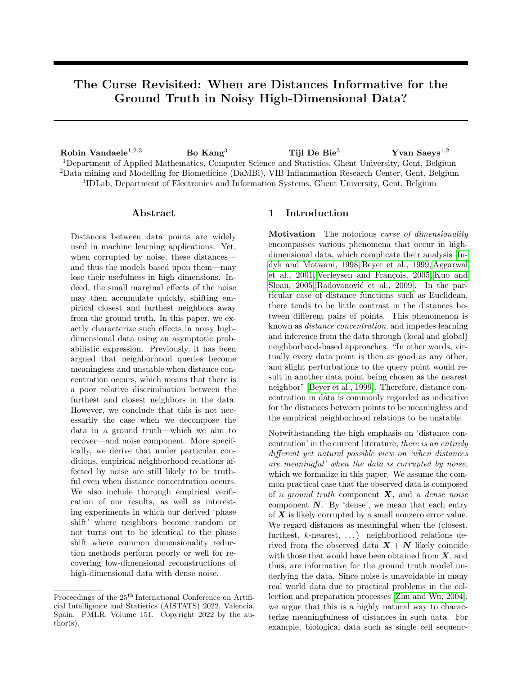ing data [\[Zhang et al., 2021\]](#page-10-2) is inherently noisy, due to the imprecise nature of biological experiments [\[Li](#page-9-5)[bralon et al., 2009,](#page-9-5)[Vandaele et al., 2021\]](#page-10-3). Other highdimensional examples include noisy images [\[Buades](#page-9-6) [et al., 2005\]](#page-9-6), climate time series [Ertöz et al., 2003], and neuron activity data [\[Friedman et al., 2015\]](#page-9-8).

While noise may contribute little to individual dimensions, its overall contribution can be especially harmful to learning from data when it is high-dimensional. When the data dimensionality grows, and the signal, here: 'the absolute difference between ground truth distances in neighborhood queries', cannot cope with the dense noise that is accumulated at the same time, the data will lose its discriminative power for inferring the ground truth. This is formally explored in this paper.

Furthermore, dimensionality reduction methods are commonly used to alleviate the effect of noise on highdimensional data and facilitate learning. See for example Figure [1,](#page-1-0) where the distances are much more useful for (topological) inference from a biological cell trajectory data set after a PCA projection. Dimensionality reductions are also used to obtain more meaningful distances in applications such as spectral clustering [\[Liu](#page-9-9) [and Han, 2004\]](#page-9-9), and even prior to other embedding methods such as t-SNE [\[Van der Maaten and Hinton,](#page-10-4) [2008\]](#page-10-4). This suggests the need of a formal exploration of how dimensionality reductions themselves are susceptible to noise in high dimensions, which we provide in this paper. While we only study this empirically for synthetic examples within the limited scope of this paper, the fact that our derived 'phase shift' where neighbors become non-random is identical to the phase shift where common dimensionality reductions methods start performing well, encourages further theoretical and methodological research into this subject.

Note that we will not introduce any novel algorithms in this paper. Yet, we do present and validate novel theoretical results about learning from high-dimensional point cloud data. These results complement previous work on distance concentration, and add to the understanding of counter-intuitive phenomena of highdimensional data. We argue that such improved understanding is imperative for the design of better computational methods for the analysis of such data.

Finally, we emphasize that the role of distance concentration in this paper is to be interpreted as rather subtle. In fact, this paper could be (and starting from Section [2](#page-2-0) is for a large part) written independent from distance concentration. However, given its prevalence in related work, we found it important to include distance concentration in our motivation and discussion, and point out its differences to the view on 'meaningfulness in distances' analyzed in this paper.

<span id="page-1-0"></span>

Figure 1: 5NN graphs (edges in black) of a real bifurcating biological cell trajectory (gene expression) data set  $X + N \subseteq \mathbb{R}^{1770}$  consisting of four cell groups [\[Can](#page-9-10)[noodt et al., 2018,](#page-9-10) [Saelens et al., 2019,](#page-10-5)[Vandaele et al.,](#page-10-6) [2020\]](#page-10-6). Each dimension quantifies the expression of a particular gene, and the coloring of each point (cell) corresponds to its cell group. The 5NN graphs are visualized through a 2-dimensional PCA embedding of  $X + N$ . (Left) The edges of the 5NN graph are obtained directly from the distances between the highdimensional points. (Right) The edges of the 5NN graph are obtained from the 2-dimensional PCA embedding. The possible placement of points is much more constrained in two dimensions. This reduces unwanted behavior caused by noisy high-dimensional distances that impede trajectory inference, such as interconnections between different branches. The resulting lower-dimensional representation will be much more effective for learning the bifurcating model, as common in trajectory inference [\[Saelens et al., 2019\]](#page-10-5).

Related Work It is well known that many distance measures lose their usefulness for discriminating between neighbors in high-dimensional data. This phenomenon, generally known as distance concentration, has been studied extensively on both a theoretical and experimental level [\[Beyer et al., 1999,](#page-9-1)[Aggarwal et al.,](#page-9-2) [2001,](#page-9-2) Durrant and Kabán, 2009, Kabán, 2012, [Gian](#page-9-13)[nella, 2021\]](#page-9-13). Its occurrence in data is widely perceived as an indicator that distances between observations are meaningless and neighborhood queries are unstable.

However, we argue that for the abundance of real word data with noise, 'distances are meaningful when they are informative for the ground truth' is a natural point of view. Nevertheless, to the best of our knowledge, a formal probabilistic analysis of such characterization is lacking, as even extensive studies on the behavior of distances and neighbors in high-dimensional data [\[Angiulli, 2017\]](#page-9-14) do not include an analysis that explicitly separates a ground truth from a noise component. By maintaining this strategy in this paper however, we make important conclusions that add to the understanding of high-dimensional data. These include that our proposed view on meaningful distances cannot be characterized through distance concentration, and that neighborhood relations may still remain truthful even when distances are dominated by noise.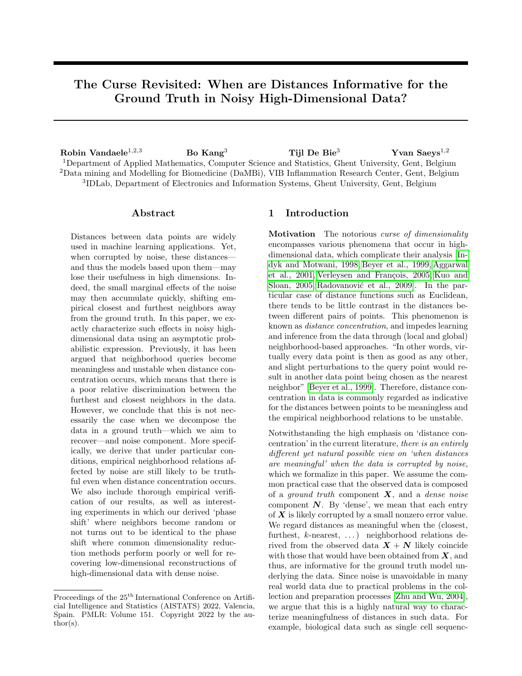#### Contributions

- We provide a probabilistic quantification of the effect of high-dimensional noise on neighboring relations, deriving conditions under which these relations either become highly random or nonrandom, independent of the magnitude of noise (Theorem [2.1](#page-2-1) & Corollary [2.3\)](#page-3-0).
- We provide thorough empirical verification of our theoretical results, and show that our novel yet natural view on meaningful distances is different from distance concentration (Section [3.1\)](#page-5-0).
- We use hyperharmonic series (Example [2.5\)](#page-4-0) to develop experiments that directly link the performance of dimensionality reductions to the randomness of neighborhood relations (Section [3.2\)](#page-6-0).
- We conclude on how our work provides better understanding of learning from noisy highdimensional point cloud data (Section [4\)](#page-8-0).

# <span id="page-2-0"></span>2 Quantifying the Effect of Noise on High-Dimensional Neighbors

In the first part of this section (Section [2.1\)](#page-2-2), we provide a probabilistic quantification of the effect of noise on the absolute discrimination between high-dimensional neighbors (Theorem [2.1\)](#page-2-1), and use this to deduce conditions under which empirical neighbors become either highly random or likely truthful (Corollary [2.3\)](#page-3-0). In particular, it will follow that these conditions are independent of the magnitude of noise in the dimensions. Although we commence the analysis assuming we have three fixed points  $x, y, z \in X$  in a given ground truth data set  $X$ , in Section [2.2](#page-4-1) we also discuss how our obtained results can be used to derive more general results for  $X$ , such as Theorem [2.6.](#page-4-2)

#### <span id="page-2-2"></span>2.1 When Neighbors Become (non-)Random: a Case Study for Three Points

Our setting in this section will be as follows.

- We are given three sequences (which are to be interpreted as vectors)  $x = x_1, x_2, \ldots, y =$  $y_1, y_2, \ldots$ , and  $z = z_1, z_2, \ldots$  These correspond to the ground truth—and thus in practice—nonobserved points. For  $d \in \mathbb{N}^*$ ,  $x_d$  equals the information captured by the d-th dimension of  $x$ (analogous for  $y, z$ ). If the model is explained by a finite number of dimensions, we can still regard  $x, y, z$  as infinite sequences by letting  $x_d = y_d =$  $z_d$  (e.g. = 0) for additional dimensions d.
- Rather than observing the vectors  $x, y$ , and  $z$ , we observe  $x+n_x$ ,  $y+n_y$ , and  $z+n_z$ . Here,  $n_x$  is a realization of a sequence of random noise variables

 $\mathbf{n}_{\bm{x}} = \mathrm{n}_{x_1}, \mathrm{n}_{x_2}, \ldots$  (analogous for  $\bm{y}, \bm{z}$ ). We will assume the random variables  $\bigcup_{d \in \mathbb{N}^*} \{n_{x_d}, n_{y_d}, n_{z_d}\}\$ to be i.i.d, have finite fourth moment  $\mu'_{4}$  (measuring the heaviness of the tail of the noise distribution), and be symmetric. While the former two assumptions will be required by the analysis, the latter simply makes it more convenient. Nevertheless, many common random noise distributions such as uniform and normal, are symmetric.

The following result should be interpreted as follows. We are given a query point  $x$  from a ground truth data set  $X$ , and two candidate neighbors  $y$  and  $z$  of  $x$ . We want a formula expressing how likely neighborhood relations between  $x, y$ , and  $z$ , such as 'x is closer to  $y$  than to  $z$ , are preserved after introducing additive noise N, i.e., we observe  $X + N$  rather than X. This formula should be asymptotically valid, i.e., for a sufficiently high dimensionality  $d$  of  $X$ . Intuitively, the resulting probabilities will be in terms of the true distances  $\|\boldsymbol{x} - \boldsymbol{y}\|$  and  $\|\boldsymbol{x} - \boldsymbol{z}\|$ , and noise characteristics, here  $\sigma^2$  and  $\mu'_4$ . Indeed, when there is not much difference between  $\|\boldsymbol{x} - \boldsymbol{y}\|$  and  $\|\boldsymbol{x} - \boldsymbol{z}\|$  (the signal), or when  $\sigma^2$  and  $\mu'_4$  are large, we expect it to be more difficult to preserve neighborhood relations. The following formula will then be used to derive subsequent insightful results in the rest of this paper.

<span id="page-2-1"></span>**Theorem 2.1.** Let  $x = x_1, x_2, ..., y = y_1, y_2, ...$ and  $z = z_1, z_2, \ldots$  be three sequences of real numbers. Let  $\mathbf{n_x} = n_{x_1}, n_{x_2}, \ldots, \mathbf{n_y} = n_{y_1}, n_{y_2}, \ldots, \text{ and}$  $\mathbf{n_z} = n_{z_1}, n_{z_2}, \ldots$  be three sequences of jointly i.i.d. symmetric continuous random variables with variance  $\sigma^2$  and finite 4th moment  $\mu'_4$ . For a sequence s, denote  $s^{(d)}$  for the vector composed from its first d elements in order. Finally, let

$$
\Delta_{\infty}(d) \coloneqq \max \left\{ \left\| \boldsymbol{x}^{(d)} - \boldsymbol{y}^{(d)} \right\|_{\infty}, \left\| \boldsymbol{x}^{(d)} - \boldsymbol{z}^{(d)} \right\|_{\infty} \right\}.
$$
  
If

<span id="page-2-3"></span>
$$
\lim_{d \to \infty} \frac{\Delta_{\infty}(d)}{\sqrt[d]{d}} = 0, \tag{1}
$$

then

$$
\left|P\left(\left\|\boldsymbol{x}^{(d)}+\mathbf{n}^{(d)}_{\boldsymbol{x}}-\boldsymbol{y}^{(d)}-\mathbf{n}^{(d)}_{\boldsymbol{y}}\right\| \leq \left\|\boldsymbol{x}^{(d)}+\mathbf{n}^{(d)}_{\boldsymbol{x}}-\boldsymbol{z}^{(d)}-\mathbf{n}^{(d)}_{\boldsymbol{z}}\right\|\right) \\ -\Phi\left(\zeta^{(d)}\left(\mu_4',\sigma,\boldsymbol{x},\boldsymbol{y},\boldsymbol{z}\right)\right)\right|\overset{d\to\infty}{\longrightarrow} 0,
$$

where  $\zeta^{(d)}$ :  $(\mathsf{R}^+)^2 \times (\mathsf{R}^d)^3 \to \mathsf{R}$ :

<span id="page-2-4"></span>
$$
\begin{pmatrix} \mu_4' \\ \sigma \\ x \\ y \\ z \end{pmatrix} \n\mathcal{V} \frac{\|x - z\|^2 - \|x - y\|^2}{\sqrt{2d(\mu_4' + 3\sigma^4) + 8\sigma^2 (\|x - y\|^2 + \|x - z\|^2 - \langle x - y, x - z \rangle)}},\tag{2}
$$

and  $\Phi$  is the cumulative distribution function of the standard normal distribution.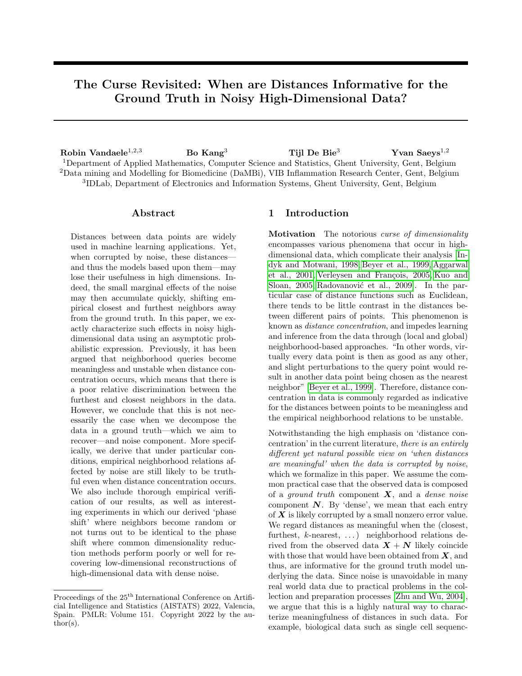Letting

<span id="page-3-4"></span>
$$
z(d) := \left\| \mathbf{n}_{\mathbf{x}}^{(d)} - \mathbf{n}_{\mathbf{y}}^{(d)} + \mathbf{x}^{(d)} - \mathbf{y}^{(d)} \right\|^2
$$
  
- 
$$
\left\| \mathbf{n}_{\mathbf{x}}^{(d)} - \mathbf{n}_{\mathbf{z}}^{(d)} + \mathbf{x}^{(d)} - \mathbf{z}^{(d)} \right\|^2
$$
  
= 
$$
\sum_{i=1}^{d} \left[ \left( \mathbf{n}_{x_i} - \mathbf{n}_{y_i} + x_i - y_i \right)^2 - \left( \mathbf{n}_{x_i} - \mathbf{n}_{z_i} + x_i - z_i \right)^2 \right],
$$
  
= 
$$
\sum_{i=1}^{d} \left[ \left( \mathbf{n}_{x_i} - \mathbf{n}_{y_i} + x_i - y_i \right)^2 - \left( \mathbf{n}_{x_i} - \mathbf{n}_{z_i} + x_i - z_i \right)^2 \right],
$$
(3)

the proof of Theorem [2.1](#page-2-1) is based on an application of the central limit theorem (CLT) to quantify the limiting behavior of  $z(d)$ . However, the random variables  $z_i$ ,  $i = 1, \ldots, d$ , are not necessarily identically distributed, i.e., with the same mean and variance. For this reason, unlike the analysis by [\[Beyer et al., 1999,](#page-9-1) [Aggar](#page-9-2)[wal et al., 2001\]](#page-9-2), we require special conditions to ensure that the CLT remains applicable in our result. To this end, [\(1\)](#page-2-3) provides a sufficient condition for Linderberg's condition to be satisfied [\[Lindeberg, 1922\]](#page-9-15). A full proof of Theorem [2.1](#page-2-1) is provided in Appendix [B.](#page-11-0)

<span id="page-3-3"></span>Remark 2.2. Following the proof in Appendix [B,](#page-11-0) condition  $(1)$  can be further weakened to:

<span id="page-3-1"></span>
$$
\left(\frac{\Delta_{\infty}^{4}(d)}{d+\Vert\mathbf{x}^{(d)}-\mathbf{y}^{(d)}\Vert\,\Vert\mathbf{x}^{(d)}-\mathbf{z}^{(d)}\Vert} \stackrel{d\rightarrow\infty}{\longrightarrow} 0\right) \text{ and } (\forall\epsilon>0)
$$
\n
$$
\left(\frac{F_{\mathbf{n}}\left(-\left(d+\Vert\mathbf{x}^{(d)}-\mathbf{y}^{(d)}\Vert\,\Vert\mathbf{x}^{(d)}-\mathbf{z}^{(d)}\Vert\right)^{\frac{1}{4}}\epsilon\right)}{\times\min\left\{d\Delta_{\infty}^{4}(d),\left\Vert\mathbf{x}^{(d)}-\mathbf{y}^{(d)}\right\Vert^{2}\left\Vert\mathbf{x}^{(d)}-\mathbf{z}^{(d)}\right\Vert^{2}\right\}} \stackrel{d\rightarrow\infty}{\longrightarrow} 0\right),\tag{4}
$$

where  $F_n$  is the cumulative distribution function of the (marginal) random noise variable n. By making use of Markov's inequality, it can be straightforwardly shown that [\(1\)](#page-2-3)  $\implies$  [\(4\)](#page-3-1). While this condition is less insightful than [\(1\)](#page-2-3), it can be used to easily show that it suffices that  $\Delta_{\infty}(d) = o\left(d^{\frac{1}{4}}\right)$  in the generic case that n is bounded. Nevertheless, in the practical case that  $\Delta_{\infty}(d)$  is bounded, i.e., when newly added dimensions are (eventually) at most as discriminating as the former, condition [\(1\)](#page-2-3) is trivially satisfied. In Corollary [2.3](#page-3-0) we will assume such bound, as it allows for a convenient way to 'symmetrize' the asymptotic growth conditions formalized in this result.

Under the same setting as for Theorem [2.1,](#page-2-1) i.e., given a query point  $x$  and two candidate (closest, furthest, ...) neighbors  $y$  and  $z$  of  $x$ , we can now study growth conditions on the signal—this being how well we can discriminate between  $y$  and  $z$  as the ground truth neighbors of  $x$ —under which the signal 'beats' the noise in high dimensions and vice versa. If the noise beats the signal, then the empirical neighborhood relations, i.e., those derived after additive noise is introduced, thus from the observed data, will be (nearly) completely random. This is expressed by Corollary [2.3.](#page-3-0)1 below. In the opposite case, the signal beats the noise, and the empirical neighborhood relations will (likely) agree with those that would have been derived without noise, i.e., from the ground truth points  $x$ ,  $y$ , and  $z$ . This is expressed by Corollary [2.3.](#page-3-0)2. The proofs of these results are provided in Appendix [B.](#page-11-0)

<span id="page-3-0"></span>Corollary 2.3. Let  $x = x_1, x_2, ..., y = y_1, y_2, ...$ and  $z = z_1, z_2, \ldots$  be three sequences of real numbers. Let  $\mathbf{n_x} = \mathbf{n_{x_1}}, \mathbf{n_{x_2}}, \ldots, \mathbf{n_y} = \mathbf{n_{y_1}}, \mathbf{n_{y_2}}, \ldots, \text{ and}$  $\mathbf{n_z} = \mathbf{n_{z_1}}, \mathbf{n_{z_2}}, \dots$  be three sequences of jointly i.i.d. symmetric continuous random variables with finite 4th moment  $\mu'_4$ . Suppose further that  $\sup_{d \in \mathbb{N}^*} \Delta_{\infty}(d) \leq C$ for some constant C. Then the following two statements are true.

1. If 
$$
\|\mathbf{x}^{(d)} - \mathbf{z}^{(d)}\|^2 - \|\mathbf{x}^{(d)} - \mathbf{y}^{(d)}\|^2 = o\left(d^{\frac{1}{2}}\right),
$$
  
\n
$$
\lim_{d \to \infty} P\left(\left\|\mathbf{x}^{(d)} + \mathbf{n}_{\mathbf{x}}^{(d)} - \mathbf{y}^{(d)} - \mathbf{n}_{\mathbf{y}}^{(d)}\right\| \le
$$
\n
$$
\left\|\mathbf{x}^{(d)} + \mathbf{n}_{\mathbf{x}}^{(d)} - \mathbf{z}^{(d)} - \mathbf{n}_{\mathbf{z}}^{(d)}\right\|\right) = \frac{1}{2}.
$$
\n2. If  $d^{\frac{1}{2}} = o\left(\left\|\mathbf{x}^{(d)} - \mathbf{z}^{(d)}\right\|^2 - \left\|\mathbf{x}^{(d)} - \mathbf{y}^{(d)}\right\|^2\right),$   
\n
$$
\lim_{d \to \infty} P\left(\left\|\mathbf{x}^{(d)} + \mathbf{n}_{\mathbf{x}}^{(d)} - \mathbf{y}^{(d)} - \mathbf{n}_{\mathbf{y}}^{(d)}\right\| \le \left\|\mathbf{x}^{(d)} + \mathbf{n}_{\mathbf{x}}^{(d)} - \mathbf{z}^{(d)} - \mathbf{n}_{\mathbf{z}}^{(d)}\right\|\right) = 1.
$$

<span id="page-3-2"></span>Remark 2.4. The following conclusions—which will all be validated in Section [3—](#page-5-1)can now be made.

- 1.  $\Delta_2(d) \coloneqq \max \{ ||x^{(d)} y^{(d)}||, ||x^{(d)} z^{(d)}|| \}$  has to grow at least as  $d^{\frac{1}{4}}$ , otherwise neighbors will become highly random. Indeed, if  $\Delta_2(d) = o\left(d^{\frac{1}{4}}\right)$ , then condition  $(4)$  in Remark [2.3](#page-3-0) is satisfied, and Corollary [2.3.](#page-3-0)1 becomes applicable (note that the assumed bound  $\sup_{d\in\mathbb{N}^*}\Delta_{\infty}(d) \leq C$  is only required for Corollary [2.3.](#page-3-0)2, see also Appendix [B\)](#page-11-0).
- 2. The noise characteristics  $\sigma^2$  and  $\mu'_4$  naturally have a direct effect on the usefulness of empirical neighbors for any fixed dimension d, which is intuitively clear, and can be seen from [\(2\)](#page-2-4). However, under the conditions of Corollary [2.3,](#page-3-0) their magnitude becomes negligible in large dimensions.
- 3. Even if the distances between the noise vectors are dominant in the distances between the observed data points, neighbors may become non-random, i.e., representative for the ground truth neighbors. For example, if the random noise variable n is uniformly distributed, then the expected distances uniformly distributed, then the expected distances<br>between two noise vectors grows as  $\sqrt{d}$ , whereas it is sufficient for the absolute differences between  $u$  is sufficient for the absolute differences between<br>ground truth distances to grow as  $\sqrt[4]{d} + \epsilon$  for some  $\epsilon > 0$  to ensure that the noise becomes unlikely to effect neighbors in sufficiently high dimensions.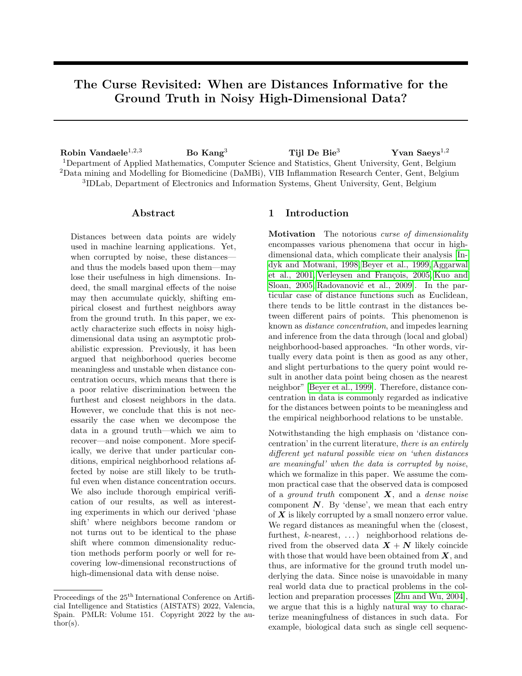The following example will prove to be very useful in the experiments (Section [3\)](#page-5-1).

<span id="page-4-0"></span>Example 2.5. Let  $x = y$  be the sequences of all zeros. Given  $\alpha \in \mathbb{R}_{\geq 2} \cup \{\infty\}$ , we define the sequence of reals  $z(\alpha) = z_1(\alpha), z_2(\alpha), \ldots,$  by letting for  $d \in \mathbb{N}^*,$ 

$$
z_d(\alpha) \coloneqq \begin{cases} \frac{1}{\sqrt[\alpha]{d}} & \text{if } \alpha \in \mathbb{R}_{>2}; \\ 1 & \text{if } \alpha = \infty. \end{cases}
$$

Observe that we have  $\Delta_{\infty}(d) = ||z^{(d)}(\alpha)||_{\infty} = 1$  for all  $d \in \mathbb{N}^*$ . We furthermore find that for  $\alpha \in \mathbb{R}_{\geq 2}$ ,  $\left\| \boldsymbol{z}^{(d)}(\alpha) \right\|$  $\alpha$  defines a hyperharmonic series, which for large  $d ∈ ℕ^*$  can be approximated as

$$
\left\| \mathbf{z}^{(d)}(\alpha) \right\|^2 = \sum_{k=1}^d \frac{1}{\sqrt[\alpha]{k^2}} \tag{5}
$$

$$
\stackrel{d \to \infty}{\sim} \int_1^d x^{-\frac{2}{\alpha}} dx = \left( \frac{\alpha}{\alpha - 2} \right) \left( d^{1 - \frac{2}{\alpha}} - 1 \right),
$$

*i.e.*,  $\|z^{(d)}(\alpha)\|$ i.e.,  $||\mathbf{z}^{(d)}(\alpha)||^2$  grows as  $d^{1-\frac{2}{\alpha}}$ . With by convention  $\frac{1}{\infty} = 0$ , this holds for  $\alpha = \infty$  as well. Naturally, in any dimension  $y$  is always closer to  $x$  than  $z$  is. Due to Corollary [2.3,](#page-3-0) the probability that this remains true under noise in high dimensions satisfies

$$
P\left(\left\|\mathbf{x}^{(d)} + \mathbf{n}_{\mathbf{x}}^{(d)} - \mathbf{y}^{(d)} - \mathbf{n}_{\mathbf{y}}^{(d)}\right\| \le \left\|\mathbf{x}^{(d)} + \mathbf{n}_{\mathbf{x}}^{(d)} - \mathbf{z}^{(d)} - \mathbf{n}_{\mathbf{z}}^{(d)}\right\|\right)
$$
  

$$
\xrightarrow{d \to \infty} \begin{cases} \frac{1}{2} & \alpha < 4; \\ 1 & \alpha > 4; \\ \Phi\left(\sqrt{\frac{2}{\mu_4 + 3\sigma^4}}\right) & \alpha = 4. \end{cases}
$$

The last limit can be found from [\(5\)](#page-4-3) by adapting the proof of Corollary [2.3.](#page-3-0)2 in Appendix [B.](#page-11-0) Thus,  $\alpha = 4$ corresponds to a 'phase shift', where neighbors transition between becoming random or non-random.

In the following section, we discuss how our results can be used to derive more general results for larger data X, consisting of more than three points  $x, y$ , and z.

### <span id="page-4-1"></span>2.2 Randomness in Neighbors for Data Sets of Arbitrary Sizes

In the previous section we restricted to the particular scenario where we have three given points  $x, y$ , and z. Naturally, we can also study the effectiveness of deriving neighborhood relations in a data set  $X$  of arbitrary size under the effect of noise in high dimensions. The reason for this is that in practice, we deal with a finite number of data points. Therefore, more general mathematical results on preserving neighbors under noise may often be derived directly from the results presented in Section [2.1.](#page-2-2)

One such example is as follows, providing sufficient growth conditions on the ground truth diameter for the noise to cause neighboring relations to become random, or thus necessary conditions for the noise not to cause this (which is what we want to achieve in practice). The idea here is that when for every point  $x \in X$ , if in the empirical noisy data it is completely random whether  $x$ 's true furthest neighbor becomes closer to  $x$  than  $x$ 's true closest neighbor, i.e., this occurs with probability  $\frac{1}{2}$ , then one can essentially not work effectively with the high-dimensional neighbors.

<span id="page-4-3"></span><span id="page-4-2"></span>**Theorem 2.6.** Let  $X = v_1, v_2, \ldots$  be a sequence of column vectors, for which  $v_d \in \mathbb{R}^n$ ,  $n \in \mathbb{N}^*$ , and denote by  $\mathbf{X}^{(d)}$  the matrix in  $\mathbb{R}^{n \times d}$  composed of the first d vectors  $v_d$  in order. For  $d \in N^*$ , and  $i = 1, \ldots, n$ , we identify the *i*-th row of the matrix  $\mathbf{X}^{(d)}$  with the point  $\mathbf{x}_i^{(d)} \in \mathbf{X}^{(d)}$ . Let furthermore  $\{\mathbf{n}_i = n_{i_1}, n_{i_2}, \ldots\}_{i \in \{1, \ldots, n\}}$  be a collection of jointly i.i.d. symmetric continuous random variables with finite 4th moment. For  $d \in \mathbb{N}^*$  and each point  $\boldsymbol{x}_i^{(d)} \in \boldsymbol{X}^{(d)},$  let  $\boldsymbol{x}_{i,\min}^{(d)}$  denote the closest neighbor of  $\boldsymbol{x}_i^{(d)}$  in  $\boldsymbol{X}^{(d)},$   $\boldsymbol{x}_{i,\text{max}}^{(d)}$  the furthest neighbor of  $\boldsymbol{x}_i^{(d)}$  in  $\boldsymbol{X}^{(d)}$ , and  $\boldsymbol{\Delta_2}(d) \coloneqq \max_{\boldsymbol{x},\boldsymbol{y} \in \boldsymbol{X}^{(d)}} \|\boldsymbol{x} - \boldsymbol{y}\|$  the diameter of  $\mathbf{X}^{(d)}$ . If  $\mathbf{\Delta_2}(d) = o\left(d^{\frac{1}{4}}\right)$ , then

$$
\sup_{i=1,\ldots,n} P\left(\left\|\boldsymbol{x}_{i}^{(d)}+\mathbf{n}_{i}^{(d)}\quad \boldsymbol{x}_{i,\max}^{(d)}\quad \mathbf{n}_{\boldsymbol{x}_{i,\max}^{(d)}}^{(d)}\right\|\\\left\|\boldsymbol{x}_{i}^{(d)}+\mathbf{n}_{i}^{(d)}\quad \boldsymbol{x}_{i,\min}^{(d)}\quad \mathbf{n}_{\boldsymbol{x}_{i,\min}^{(d)}}^{(d)}\right\| \right)\overset{d\rightarrow\infty}{\rightarrow} \frac{1}{2}.
$$

Proof. Corollary [2.3.](#page-3-0)1 is valid for every triple of rows in  $X$  (see also Remark [2.4.](#page-3-2)1). Hence, the result follows from the fact that there are only finitely many such triples (note that the row indices of  $\mathbf{x}_{i,\min}^{(d)}$  and  $\mathbf{x}_{i,\max}^{(d)}$ in  $\mathbf{X}^{(d)}$  are allowed to vary with d).  $\Box$ 

Theorem [2.6](#page-4-2) essentially states the conditions we must avoid for any practical application that relies on the distances between data observations. Conversely, the conditions we should aim for are generally more dependant on the application of interest. Indeed, for many practical purposes it may not be important to preserve all neighborhood relations in the data. For example, as will be validated in Section [3.2,](#page-6-0) for clustering algorithms a sufficient condition for cluster assignments to be likely truthful would be that Corollary [2.3.](#page-3-0)2 is satisfied for every triple  $(x, y, z)$ , where x and y belong to the same (ground truth) cluster and  $z$  to a different cluster. Under the effect of noise, any two points from the same ground truth cluster then likely remain closer to each other than to any point from another cluster. However, for particular methods such as single-linkage clustering, this would be too stringent, and more in-depth analysis will be required. Thus,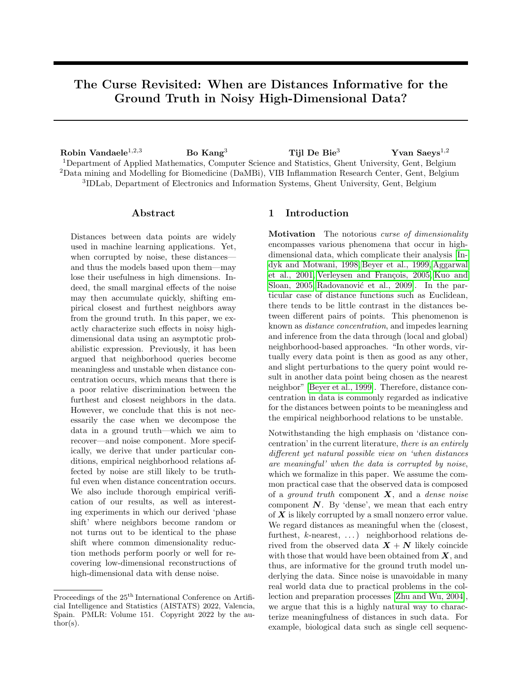we will not claim one such generally applicable result in the current paper. Nevertheless, the consensus remains that to overcome the impact of the extra noise, adding dimensions should be accompanied with adding sufficient information to discriminate between important neighbors according to the ground truth.

## <span id="page-5-1"></span>3 Experimental Results

In this section we conduct experiments that aim to improve one's understanding and intuition about working with distances in noisy high-dimensional data. First, Section [3.1](#page-5-0) will be devoted to empirical validation of our theoretical results. Section [3.2](#page-6-0) will be devoted to linking the performance of common dimensionality reduction methods as well as spectral clustering to randomness of neighborhood relations. While our empirical observations in Section [3.2](#page-6-0) cannot be immediately derived from our theoretical results in their current stage, they point out direct and interesting connections between the performance of machine learning algorithms and the signal-to-noise ratio as formalized in this paper, which encourage further research into this subject. Code for this project is available on [https:](https://github.com/robinvndaele/NoisyDistances) [//github.com/robinvndaele/NoisyDistances](https://github.com/robinvndaele/NoisyDistances).

#### <span id="page-5-0"></span>3.1 Validation of the Theoretical Results

Validation of Theorem [2.1](#page-2-1) We constructed three sets of three sequences  $x, y$ , and z containing up to 10 000 dimensions. For each set, we let  $x = y = 0$ . z is used to control ground truth distance growth rates, here measured through the  $l_2$  and  $l_{\infty}$  norm, as follows.

- 1.  $l_2$  bounded,  $l_{\infty}$  bounded:  $z = (1, 0, \ldots, 0)$ .
- 2.  $l_2$  unbounded,  $l_{\infty}$  bounded:  $z = (1, 1, \ldots, 1)$ .
- 3.  $l_2$  unbounded,  $l_{\infty}$  unbounded:  $z_d = d^{\frac{1}{4} 0.01}$ .

Then for each sequence and in each dimension we added uniform noise n  $\sim U[-0.75, 0.75]$ , for which  $\sigma^2 = \frac{0.75^2}{3}$  and  $\mu'_4 = \frac{0.75^4}{5}$ . The setup for this experiment is illustrated by Figure [2.](#page-5-2) Since n is bounded in each dimension, Theorem [2.1](#page-2-1) should be applicable to all three cases (see also Remark [2.2\)](#page-3-3). More precisely, for sufficiently large d we should find that  $y(d) := \frac{z(d) - \mu(z(d))}{z(z(d))} \overset{\text{approx.}}{\sim} N(0, 1), \text{ where } z(d) \text{ is as }$  $\overline{\sigma(z(d))}$ defined in [\(3\)](#page-3-4), and  $\mu(z(d))$  is the negative nominator and  $\sigma(z(d))$  the denominator of  $\zeta^{(d)}(\mu'_4, \sigma, \mathbf{x}, \mathbf{y}, \mathbf{z})$  in [\(2\)](#page-2-4). We verified this through 5000 samples of  $v(d)$ for each of the three ground truth growth rates and various dimension d chosen from a log-scale (replicating the noise outcomes). We used the Shapiro–Wilk test to assess normality. The results are shown in Figure [3,](#page-5-2) confirming that Theorem [2.1](#page-2-1) is indeed applicable to all of the considered growth rates. Since the Shapiro–Wilk test is developed to asses normality, but

<span id="page-5-2"></span>

Figure 2: The experiment setup visualized in 2D. We have three points  $x = y$  and z, where z controls the true discrimination growth rate. Theorem [2.1](#page-2-1) quantifies how likely  $x$  will remain closer to  $y$  than to  $z$  when corrupted by noise in high dimensions, here illustrated by the displacements in red, for various growth rates.



Figure 3: Shapiro–Wilk test statistics to assess normality of  $y(d)$  for the various growth rates determined by  $z$ , according to the data dimension  $d$ . The convergence of the curves to 1 agrees that Theorem [2.1](#page-2-1) is applicable to all of the growth rates, and thus allows us to quantify the randomness of neighborhood relations between  $x, y$ , and z caused by noise.



Figure 4: Density plot and Q-Q plot of y(10 000) (empirical) compared to the standard normal distribution.

not standard normality, Figure [4](#page-5-2) shows normality plots of  $y(10000)$  for the second set of sequences, confirming the correctness of our calculations.

Validation of Corollary [2.3](#page-3-0) We will use Example [2.5](#page-4-0) to analyze for which growth rates of the true discrimination between neighbors (the signal), empirical neighbors become random or not. For this, we considered various sets of three sequences  $x, y$ , and  $z$ , where  $x = y = 0$ , and  $z = z(\alpha)$  controls the growth rate as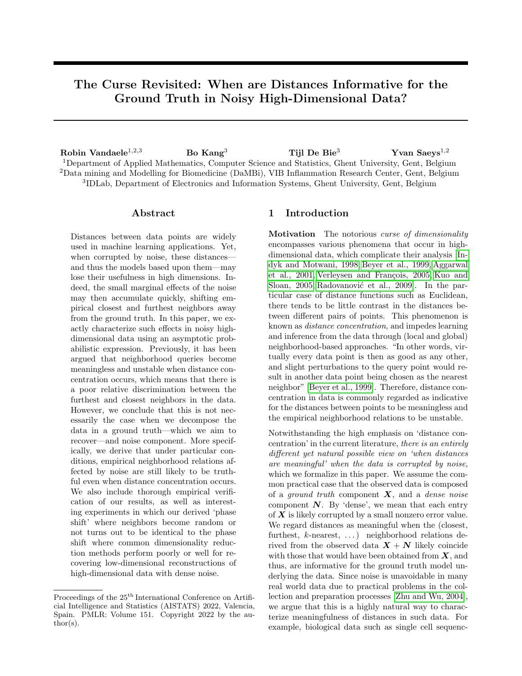determined by  $\alpha$  in Example [2.5.](#page-4-0) We sampled noise using a uniform distribution n  $\sim U[-1.25, 1.25]$ . A higher magnitude of noise is chosen here to better illustrate that  $0 < \Phi_4 \coloneqq \Phi\left(\sqrt{\frac{2}{\mu'_4 + 3\sigma^4}}\right)$  $\Big)$  < 1 (for  $\alpha \neq 4$ the magnitude will not matter in the limit). The setup of this experiment is again visualized by Figure [2.](#page-5-2) We used 5000 noise replicates to approximate a variety of expected values and probabilities for different growth rates determined by  $\alpha \in \{2, 3, 4, 5, 6, \infty\}$ . These are illustrated on Figure [5,](#page-6-1) and defined as follows.

- 1. The expected distance between two noise vectors, compared to the ground truth diameter growth rates, i.e., of  $||z||$  (Figure [5,](#page-6-1) Left).
- 2. The expected relative contrast (Figure [5,](#page-6-1) Middle) [\[Aggarwal et al., 2001\]](#page-9-2):

$$
\frac{\max_{p,q \in \{x,y,z\}} \|p + \mathbf{n}_p - q - \mathbf{n}_q\|}{\min_{p,q \in \{x,y,z\}} \|p + \mathbf{n}_p - q - \mathbf{n}_q\|} - 1.
$$

A relative contrast near 0 indicates distance concentration (discussed in Section [1\)](#page-0-0).

3. The probability (Figure [5,](#page-6-1) Right)

$$
P\left(\left\|\boldsymbol{x}+\mathbf{n}_{\boldsymbol{x}}-\boldsymbol{y}-\mathbf{n}_{\boldsymbol{y}}\right\|\leq\left\|\boldsymbol{x}+\mathbf{n}_{\boldsymbol{x}}-\boldsymbol{z}-\mathbf{n}_{\boldsymbol{z}}\right\|\right).
$$

First, we observe that the distances between the noise vectors is expected to become indefinitely larger than the distances between the ground truth points for  $\alpha < \infty$  (Figure [5,](#page-6-1) Left). Hence, we would intuitively expect the distances between the noise vectors to play a dominant role in the observed empirical distances

<span id="page-6-1"></span>

Figure 5: (Left) The expected growth rate of the distance between two noise vectors compared to the ground truth model diameter growth rates determined by  $\alpha$ . (Middle) The expected relative contrast converges to 0 for all considered values  $\alpha < \infty$ , meaning that the two closest points are expected to be relatively as distant to each other as the two furthest points. (Right) The limiting behavior of  $P(||x + n_x - y - n_y|| \le ||x + n_x - z - n_z||)$ . Under noise in high dimensions, neighbors will be inferred effectively for  $\alpha > 4$ , i.e., empirical neighbors will likely be true, whereas for  $\alpha < 4$ , they become meaningless.

for the corresponding growth rates. Second, we observe that also for all considered growth rates determined by  $\alpha < \infty$ , the expected relative contrast converges to 0 (Figure [5,](#page-6-1) Middle). This means that in sufficiently high dimensions, the two closest points are expected to be relatively as distant to each other as the two furthest points. If one would interpret this as neighborhood queries to become meaningless and unstable—as argued by [\[Beyer et al., 1999,](#page-9-1) [Aggarwal](#page-9-2) [et al., 2001\]](#page-9-2)—according to our view discussed in Section [1,](#page-0-0) this should result in a lot of randomness in the chosen closest neighbor of the noisy observation representing  $x$  in the high-dimensional space for all considered  $\alpha \in \{2, \ldots, 6\}$ . However, as discussed in Example [2.5,](#page-4-0) this will not be the case whenever  $\alpha > 4$ , as x will very likely correctly choose  $y$  as its neighbor even when this choice is affected by noise in high dimensions. This is confirmed by the empirical probabilities (Figure [5,](#page-6-1) Right), which furthermore agree with all limits obtained in Example [2.5](#page-4-0) from Corollary [2.3.](#page-3-0)

#### <span id="page-6-0"></span>3.2 Learning with Random Neighbors

Dimensionality Reduction As also discussed in Section [1,](#page-0-0) dimensionality reductions are commonly applied for preprocessing high-dimensional data that is corrupted by noise. The obtained distances in the lower-dimensional space are then assumed to be more informative for inference and machine learning (Figure [1\)](#page-1-0). This raises the question whether dimensionality reductions can naturally accommodate the effect of noise on high-dimensional neighboring relations.

To investigate this, consider a ground truth data set  $X$ of n evenly spaced points on the line segment  $\mathcal L$  from the origin to  $\mathbf{z}^{(d)}$  in  $\mathbb{R}^d$ , where  $\mathbf{z} = \mathbf{z}(\alpha)$  is as defined in Example [2.5](#page-4-0) by fixing some  $\alpha \in \mathbb{R}_{\geq 2} \cup \{\infty\}$  (Figure [6,](#page-7-0) Left). Since these points are evenly spaced on  $\mathcal{L},$ the growth rate of all squared distances (and the differences between them) will be identical to the growth rate of  $||z^{(d)}||^2$ , up to some constant factor depending on the fixed ground truth ordering of the considered points. Thus, from Corollary [2.3](#page-3-0) we find that under the effect of noise in high dimensions, all empirical neighbors will become random for  $\alpha < 4$ , and all empirical neighbors will likely remain truthful for  $\alpha > 4$ .

For a 1D-dimensionality reduction method  $f$ , we can now study how well  $f$  is able to recover neighboring relations of  $X$  from  $X + N$ , with N a random noise matrix. For this, we look at the correlation between the ordering of points on X and on  $f(X+N)$  (Figure [6\)](#page-7-0). Furthermore, we investigate this for six different dimensionality reduction methods that are commonly used for noise or feature size reduction prior to visualization, (topological) inference, or clustering: [PCA](#page-10-4) [\[Wold et al., 1987,](#page-10-7) [Van der Maaten and Hin-](#page-10-4)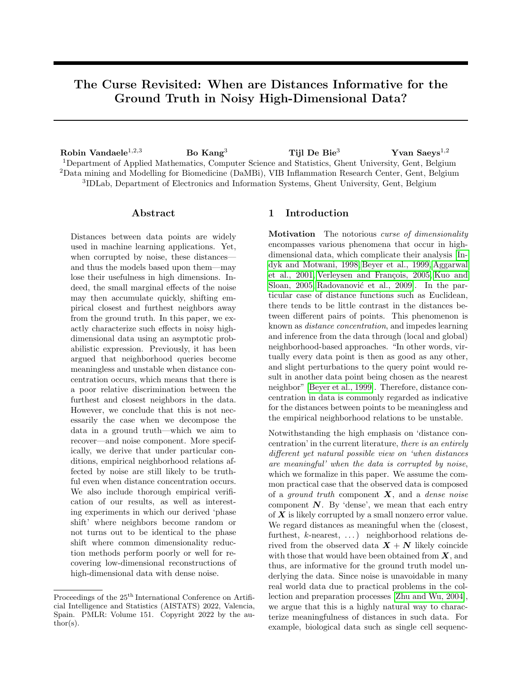[ton, 2008,](#page-10-4) [Street et al., 2018,](#page-10-8) [Cannoodt et al., 2016\]](#page-9-16), UMAP [\[McInnes et al., 2018\]](#page-9-17), diffusion maps [\[Coif](#page-9-18)[man and Lafon, 2006,](#page-9-18) [Vandaele et al., 2020,](#page-10-6) [Cannoodt](#page-9-16) [et al., 2016\]](#page-9-16), robust PCA [Candès et al., 2011] (a variant of PCA that assumes the data is composed in a low-rank component  $X$  and a *sparse* noise component  $N$ ), a basic autoencoder [\[Kramer, 1991,](#page-9-20) [Vin](#page-10-9)[cent et al., 2010\]](#page-10-9) with 5 hidden layers and tanh activation, and Isomap [\[Tenenbaum et al., 2000\]](#page-10-10). We evaluated their performances for  $n = 25$  points, up to  $d = 10000$  dimensions, growth rates determined by  $\alpha \in \{2, 3, 4, 5, 6, \infty\}$ , and averaged over 100 noise replicates from n  $\sim U[-1.25, 1.25]$  per dimension. The autoencoder was built in Python. Other models ran under standard settings in R (with 10 neighbors instead of 50 for Isomap). Figure [7](#page-7-0) shows the results.

We consistently observe that the performances increase by dimension for  $\alpha > 4$ , and decrease for  $\alpha < 4$ . Following the previous results (Figure [5,](#page-6-1) Right), this provides empirical evidence that the performance of these common dimensionality reduction methods is directly affected by whether noise causes randomness in

<span id="page-7-0"></span>

Figure 6: (Left)  $n = 25$  ground truth points, which make up  $X$ , are evenly spaced on a linear model  $\mathcal{L} \subseteq \mathbb{R}^d$ . (Middle) Rather than observing  $\boldsymbol{X}$ , we observe  $X + N$  for a random noise matrix N. (Right) A 1-dimensional PCA dimensionality reduction aims to retrieve the true ordering of the points on  $\mathcal{L}$ .



Figure 7: The performance of six common dimensionality reduction methods for recovering the ground truth ordering of the points on  $\mathcal L$  under the effect of noise, by dimension and signal growth rate.

high-dimensional neighborhood relations or not. This thus suggests that these methods themselves may be susceptible to the noise they aim to reduce. These observations are only contradicted by the autoencoder, which showed convergence issues for larger dimensions.

Finally, the case  $\alpha = 4$  deserves special interest. Since in a practical setting additional distributional conditions of  $X$  will likely result in some non-extreme degree of randomness in the empirical neighborhood relations, we observe that this may be reflected in the performance of dimensionality reductions as well.

Spectral Clustering Spectral clustering uses the spectrum of a similarity matrix from the data to perform a dimensionality reduction, prior to clustering the data in fewer dimensions [\[Filippone et al., 2008\]](#page-9-21). Naturally, when the dimensionality reduction is affected by noise, so will the consecutive clustering performance.

To illustrate this, we constructed ground truth clusters by randomly sampling 25 data points from each of two 10 000-dimensional hyperballs  $S_0 \coloneqq B\left(\mathbf{0}, \frac{\|\mathbf{c}(\alpha)\|}{5}\right)$  $rac{\alpha}{5}$  and  $\mathcal{S}_c \coloneqq B\left(\boldsymbol{c}(\alpha), \frac{\|\boldsymbol{c}(\alpha)\|}{5}\right)$  $\frac{\alpha}{5}$ ), where  $c(\alpha)$  is defined by  $c_d(\alpha) = \begin{cases} \frac{5}{\alpha} & \text{if } d \leq 2; \\ \frac{1}{\alpha} & \text{if } d > 2. \end{cases}$  $\frac{1}{\sqrt[n]{d}}$  if  $d > 2$ .

Hence,  $\Vert c^d(\alpha) \Vert$  grows exactly as  $\Vert z^d(\alpha) \Vert$  in Example [2.5.](#page-4-0) The reason that we scale the first two coordinates is to provide more interpretable visualizations in Figure [8.](#page-7-1) Finally, we added noise sampled from the standard normal distribution  $\mathcal{N}(0,1)$  to each dimension. We now ask the question how well spectral clustering is able to recover the ground truth clusters from the high-dimensional data, as shown in Figure [8.](#page-7-1)

<span id="page-7-1"></span>

Figure 8: The results of spectral clustering for various input dimensionalities and values  $\alpha$  that control the separation of two ground truth clusters in high dimensions, with and without Gaussian noise. Each plot is the restriction of the data to its first two coordinates.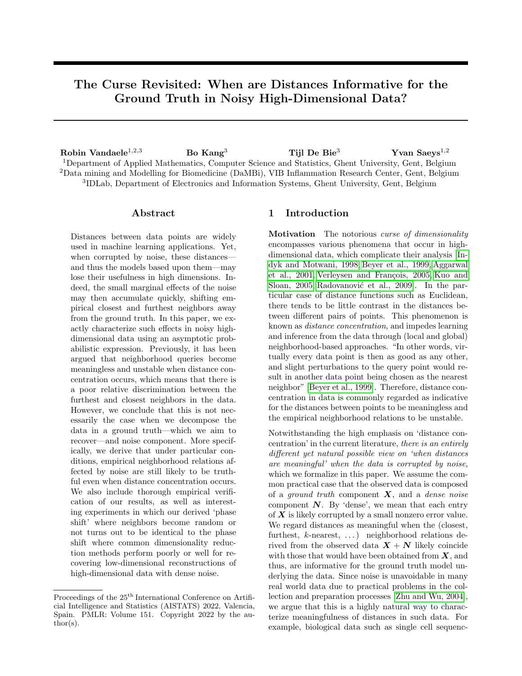Due to the triangle inequality, any two points in the same ground truth cluster will be closer to each other than to any point in a different cluster, according to the ground truth distances. As a consequence, without noise, spectral clustering (we use the standard settings from the R library Spectrum with a maximum of two clusters) recovers the clusters perfectly from the highdimensional data (Figure [8,](#page-7-1) left column). Furthermore, also from the triangle inequality and our results in Section [2.1,](#page-2-2) it can be shown that when corrupted by noise, points will likely remain closer to points in the same ground truth cluster for  $\alpha > 4$ , whereas for  $\alpha$  < 4, points will be nearly equally likely closer to points in other ground truth clusters than their own.

From Figure [8,](#page-7-1) we see that this directly affects the performance of spectral clustering. For  $\alpha = 5$ , the clusters are perfectly identified, whereas for  $\alpha = 3$ , the inferred clusters become increasingly meaningless when the dimensionality of the data from which they are derived grows. Again,  $\alpha = 4$  corresponds to a boundary case. Here, the true clusters are identified well, although not perfectly, from the noisy high-dimensional data.

Role of Data Size As common in machine learning applications, we observed that having more data can resolve much of the issues caused by noise. Figure [9](#page-8-1) illustrates this for our experiment summarized by Figures [6](#page-7-0) & [7,](#page-7-0) where we now fixed  $\alpha = 3$ , but varied the data size  $n \in \{25, 50, 100\}$ . As discussed above, neighboring relations in the high-dimensional data will eventually become random for  $\alpha = 3$ . For all dimensionality reduction methods, we observe that their performance consistently drops for sufficiently high dimensions (Figure [9\)](#page-8-1). However, for PCA, robust PCA, and diffusion maps, we observe that for larger data sizes, higher performances are reached first, and

<span id="page-8-1"></span>

Figure 9: The performance of six common dimensionality reduction methods for recovering the ground truth ordering of the points on  $\mathcal L$  under the effect of noise, by dimension and data size, for  $\alpha = 3$ .

the dimension after which they struggle to recover the model gets delayed. For the autoencoder and Isomap, the role of the data size is inconclusive. Interestingly, the performance with UMAP is consistently worse for larger data sizes (with the current settings). These results can vary for the value of  $\alpha$  however. For example, in case of the autoencoder model which consistently showed an optimal dimension after which the performance decreases even for  $\alpha > 4$  (Figure [7\)](#page-7-0), we observed that larger data sizes may accommodate the noise (see Supplementary Figure [10](#page-11-1) in Appendix [A\)](#page-11-2).

#### <span id="page-8-0"></span>4 Discussion and Conclusion

Noise can be, but does not have to be, fatal when learning from high-dimensional data based on distances. Although this is not a surprising fact, we provided a first and exact mathematical characterization when such distances become (un)informative under noise. Furthermore, we found that our concept of meaningfulness of distances, i.e., when they are informative for the ground truth, is fundamentally different from distance concentration, and suggests direct connections to the ability of dimensionality reductions to recover the data model. Although we focused on small artificial data sets to validate the results in this (mainly theoretical) paper, they are interesting nevertheless, and encourage further foundational and practical research into learning from noisy high-dimensional data.

Unfortunately, the conditions for distances to be meaningful will be difficult to assess in practice. For example, one can easily derive from our results that when many features are irrelevant to the model, neighborhood relations will become uninformative in the presence of noise. In practice however, we may be unsure whether any features are irrelevant at all. How algorithms may actually benefit from the results presented in this paper, is open to further research. Nevertheless, there is an abundance of high-dimensional data where we cannot effectively recover the structure due to noise, leading to poor subsequent model inference, such as in biological single-cell data analysis. We argue that better understanding the behavior of distances in noisy high-dimensional data—for which we provided, illustrated, and validated theoretical results in this paper—is imperative for one to be able to design better computational methods for their analysis.

#### Acknowledgments

This research was funded by the ERC under the EU's 7th Framework and H2020 Programmes (ERC Grant Agreement no. 615517 and 963924), the Flemish Government (AI Research Program), and the FWO (project no. G091017N, G0F9816N, 3G042220).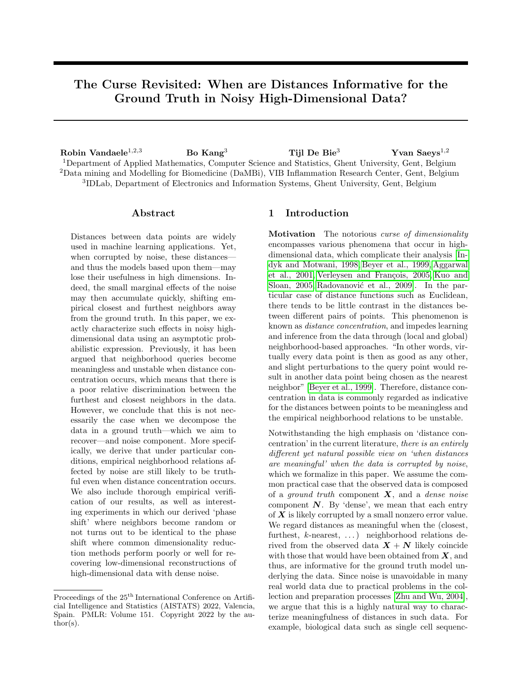#### References

- <span id="page-9-2"></span>[Aggarwal et al., 2001] Aggarwal, C. C., Hinneburg, A., and Keim, D. A. (2001). On the surprising behavior of distance metrics in high dimensional space. In Van den Bussche, J. and Vianu, V., editors, Database Theory — ICDT 2001, pages 420– 434, Berlin, Heidelberg. Springer Berlin Heidelberg.
- <span id="page-9-14"></span>[Angiulli, 2017] Angiulli, F. (2017). On the behavior of intrinsically high-dimensional spaces: Distances, direct and reverse nearest neighbors, and hubness. J. Mach. Learn. Res., 18(1):6209–6268.
- <span id="page-9-1"></span>[Beyer et al., 1999] Beyer, K., Goldstein, J., Ramakrishnan, R., and Shaft, U. (1999). When is "nearest neighbor" meaningful? In International conference on database theory, pages 217–235. Springer.
- <span id="page-9-6"></span>[Buades et al., 2005] Buades, A., Coll, B., and Morel, J.-M. (2005). A non-local algorithm for image denoising. In 2005 IEEE Computer Society Conference on Computer Vision and Pattern Recognition  $(CVPR'05)$ , volume 2, pages 60–65. IEEE.
- <span id="page-9-19"></span>[Candès et al., 2011] Candès, E. J., Li, X., Ma, Y., and Wright, J. (2011). Robust principal component analysis? Journal of the ACM (JACM), 58(3):1-37.
- <span id="page-9-16"></span>[Cannoodt et al., 2016] Cannoodt, R., Saelens, W., and Saeys, Y. (2016). Computational methods for trajectory inference from single-cell transcriptomics. European journal of immunology, 46(11):2496–2506.
- <span id="page-9-10"></span>[Cannoodt et al., 2018] Cannoodt, R., Saelens, W., Todorov, H., and Saeys, Y. (2018). Single-cell -omics datasets containing a trajectory.
- <span id="page-9-18"></span>[Coifman and Lafon, 2006] Coifman, R. R. and Lafon, S. (2006). Diffusion maps. Applied and computational harmonic analysis, 21(1):5–30.
- <span id="page-9-11"></span>[Durrant and Kab´an, 2009] Durrant, R. J. and Kabán, A. (2009). When is 'nearest neighbour'meaningful: A converse theorem and implications. Journal of Complexity, 25(4):385–397.
- <span id="page-9-7"></span>[Ertöz et al., 2003] Ertöz, L., Steinbach, M., and Kumar, V. (2003). Finding clusters of different sizes, shapes, and densities in noisy, high dimensional data. In Proceedings of the 2003 SIAM international conference on data mining, pages 47–58. SIAM.
- <span id="page-9-21"></span>[Filippone et al., 2008] Filippone, M., Camastra, F., Masulli, F., and Rovetta, S. (2008). A survey of kernel and spectral methods for clustering. Pattern recognition, 41(1):176–190.
- <span id="page-9-8"></span>[Friedman et al., 2015] Friedman, A., Keselman, M. D., Gibb, L. G., and Graybiel, A. M. (2015). A multistage mathematical approach to automated clustering of high-dimensional noisy data. Proceedings of the National Academy of Sciences, 112(14):4477–4482.
- <span id="page-9-13"></span>[Giannella, 2021] Giannella, C. R. (2021). Instability results for euclidean distance, nearest neighbor search on high dimensional gaussian data. Information Processing Letters, 169:106115.
- <span id="page-9-0"></span>[Indyk and Motwani, 1998] Indyk, P. and Motwani, R. (1998). Approximate nearest neighbors: towards removing the curse of dimensionality. In Proceedings of the thirtieth annual ACM symposium on Theory of computing, pages 604–613.
- <span id="page-9-12"></span>[Kabán, 2012] Kabán, A. (2012). Non-parametric detection of meaningless distances in high dimensional data. Statistics and Computing, 22(2):375–385.
- <span id="page-9-20"></span>[Kramer, 1991] Kramer, M. A. (1991). Nonlinear principal component analysis using autoassociative neural networks. AIChE journal, 37(2):233–243.
- <span id="page-9-3"></span>[Kuo and Sloan, 2005] Kuo, F. Y. and Sloan, I. H. (2005). Lifting the curse of dimensionality. Notices of the AMS, 52(11):1320–1328.
- <span id="page-9-5"></span>[Libralon et al., 2009] Libralon, G. L., de Leon Ferreira, A. C. P., Lorena, A. C., et al. (2009). Preprocessing for noise detection in gene expression classification data. Journal of the Brazilian Computer Society, 15(1):3–11.
- <span id="page-9-15"></span>[Lindeberg, 1922] Lindeberg, J. W. (1922). Eine neue herleitung des exponentialgesetzes in der wahrscheinlichkeitsrechnung. Mathematische Zeitschrift, 15(1):211–225.
- <span id="page-9-9"></span>[Liu and Han, 2004] Liu, J. and Han, J. (2004). Spectral clustering. Advances in neural information processing systems, 17:1601–1608.
- <span id="page-9-17"></span>[McInnes et al., 2018] McInnes, L., Healy, J., and Melville, J. (2018). Umap: Uniform manifold approximation and projection for dimension reduction. arXiv preprint arXiv:1802.03426.
- <span id="page-9-22"></span>[Parzen, 1960] Parzen, E. (1960). Modern probability theory and its applications, volume 10. Wiley.
- <span id="page-9-4"></span>[Radovanović et al., 2009] Radovanović, M., Nanopoulos, A., and Ivanović, M. (2009). Nearest neighbors in high-dimensional data: The emergence and influence of hubs. In Proceedings of the 26th Annual International Conference on Machine Learning, ICML '09, pages 865–872, New York, NY, USA. ACM.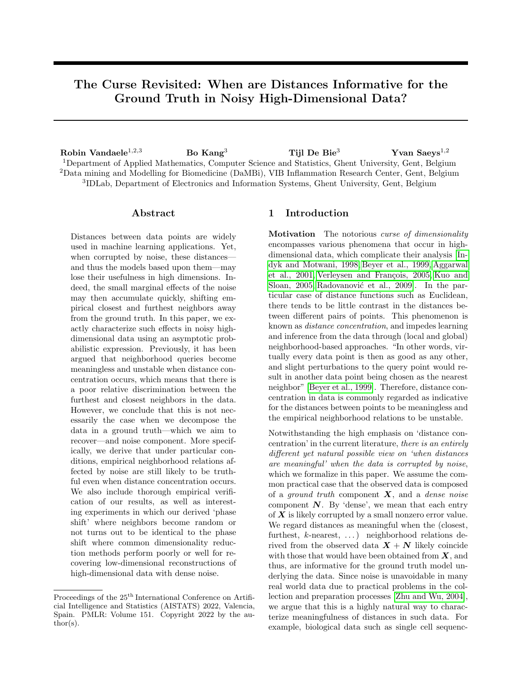- <span id="page-10-5"></span>[Saelens et al., 2019] Saelens, W., Cannoodt, R., Todorov, H., and Saeys, Y. (2019). A comparison of single-cell trajectory inference methods. Nature Biotechnology, 37:1.
- <span id="page-10-8"></span>[Street et al., 2018] Street, K., Risso, D., Fletcher, R., Das, D., Ngai, J., Yosef, N., Purdom, E., and Dudoit, S. (2018). Slingshot: Cell lineage and pseudotime inference for single-cell transcriptomics. BMC Genomics, 19.
- <span id="page-10-10"></span>[Tenenbaum et al., 2000] Tenenbaum, J. B., De Silva, V., and Langford, J. C. (2000). A global geometric framework for nonlinear dimensionality reduction. science, 290(5500):2319–2323.
- <span id="page-10-4"></span>[Van der Maaten and Hinton, 2008] Van der Maaten, L. and Hinton, G. (2008). Visualizing data using t-sne. Journal of machine learning research, 9(11).
- <span id="page-10-3"></span>[Vandaele et al., 2021] Vandaele, R., Rieck, B., Saeys, Y., and De Bie, T. (2021). Stable topological signatures for metric trees through graph approximations. Pattern Recognition Letters.
- <span id="page-10-6"></span>[Vandaele et al., 2020] Vandaele, R., Saeys, Y., and Bie, T. D. (2020). Mining topological structure in graphs through forest representations. Journal of Machine Learning Research, 21(215):1–68.
- <span id="page-10-0"></span>[Verleysen and François, 2005] Verleysen, M. and François, D. (2005). The curse of dimensionality in data mining and time series prediction. In International work-conference on artificial neural networks, pages 758–770. Springer.
- <span id="page-10-9"></span>[Vincent et al., 2010] Vincent, P., Larochelle, H., Lajoie, I., Bengio, Y., Manzagol, P.-A., and Bottou, L. (2010). Stacked denoising autoencoders: Learning useful representations in a deep network with a local denoising criterion. Journal of machine learning research, 11(12).
- <span id="page-10-7"></span>[Wold et al., 1987] Wold, S., Esbensen, K., and Geladi, P. (1987). Principal component analysis. Chemometrics and intelligent laboratory systems,  $2(1-3):37-52.$
- <span id="page-10-2"></span>[Zhang et al., 2021] Zhang, R., Atwal, G. S., and Lim, W. K. (2021). Noise regularization removes correlation artifacts in single-cell rna-seq data preprocessing. Patterns, 2(3):100211.
- <span id="page-10-1"></span>[Zhu and Wu, 2004] Zhu, X. and Wu, X. (2004). Class noise vs. attribute noise: A quantitative study. Artificial intelligence review, 22(3):177–210.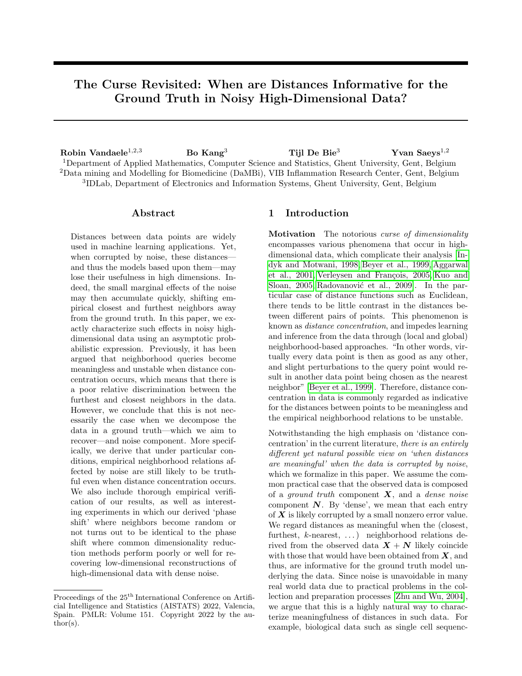# Supplementary Material: The Curse Revisited: When are Distances Informative for the Ground Truth in Noisy High-Dimensional Data?

# <span id="page-11-2"></span>A Supplementary Figures

<span id="page-11-1"></span>

Figure 10: The performance of the autoencoder model for recovering the ground truth ordering of the points on the linear model  $\mathcal L$  presented in the main paper (see also Figures  $6 \& 7$  under the effect of noise, by dimension and data size, for  $\alpha = 5$ . Neighboring relations will become increasingly truthful in the noisy highdimensional data. Nevertheless—for the same hyperparameters and architecture apart from the outer layers (which accommodate the data dimension)—the autoencoder eventually struggles to recover the model from sufficiently large dimensions. However, larger data sizes may provide a temporary solution to this.

### <span id="page-11-0"></span>B Theorems and Proofs

This part of the appendix contains the mathematical proofs of the results presented in the main paper. The following is the proof of our main theorem that leads to all principal results presented in this paper.

*Proof of Theorem [2.1.](#page-2-1)* For  $i \in \mathbb{N}^*$ , denote  $\delta_i(\boldsymbol{x}, \boldsymbol{y}) \coloneqq$  $x_i - y_i$  and  $\delta_i(x, z) \coloneqq x_i - z_i$ . For each  $d \in \mathbb{N}^*$ , we have

$$
\begin{split} &\mathbf{z}(d) \\ &:=\left\|\mathbf{n}_{\mathbf{x}}^{(d)}-\mathbf{n}_{\mathbf{y}}^{(d)}+\mathbf{x}^{(d)}-\mathbf{y}^{(d)}\right\|^2-\left\|\mathbf{n}_{\mathbf{x}}^{(d)}-\mathbf{n}_{\mathbf{z}}^{(d)}+\mathbf{x}^{(d)}-\mathbf{z}^{(d)}\right\|^2 \\ &=\sum_{i=1}^d\underbrace{\left(\underbrace{\mathbf{n}_{x_i}-\mathbf{n}_{y_i}+\delta_i(\mathbf{x},\mathbf{y})}_{=:x_i,y_i}\right)^2-\left(\underbrace{\mathbf{n}_{x_i}-\mathbf{n}_{z_i}+\delta_i(\mathbf{x},\mathbf{z})}_{=:x_i,z_i}\right)^2}_{=:z_i} \end{split}.
$$

We have

$$
\mathsf{E}(\mathbf{r}_{x_i,y_i})=\delta_i(\boldsymbol{x},\boldsymbol{y}),\quad \text{Var}(\mathbf{r}_{x_i,y_i})=2\sigma^2,
$$

so that

$$
\mathsf{E}\left(\mathbf{r}_{x_i,y_i}^2\right) = \text{Var}\left(\mathbf{r}_{x_i,y_i}\right) + \mathsf{E}\left(\mathbf{r}_{x_i,y_i}\right)^2 = 2\sigma^2 + \delta_i^2(\boldsymbol{x}, \boldsymbol{y}),
$$

and thus

$$
\mathsf{E}(\mathbf{z}_i) = \delta_i^2(\mathbf{x}, \mathbf{y}) - \delta_i^2(\mathbf{x}, \mathbf{z}).
$$

Since  $Cov(x, y) = E(xy) - E(x)E(y)$  for random variables x, y, by symmetry and the fact that  $n_{x_i}$  and  $n_{y_i}$ are independent and  $E(n_{x_i}^{2k+1}) = 0$  for  $k \in \mathbb{N}$ , we have

$$
\begin{aligned} \text{Var}\left(\mathbf{r}_{x_i,y_i}^2\right) &= 2\text{Var}\left(\mathbf{n}_{x_i}^2\right) - 8\text{Cov}\left(\mathbf{n}_{x_i}^2, \mathbf{n}_{x_i}\mathbf{n}_{y_i}\right) \\ &+ 4\text{Var}(\mathbf{n}_{x_i}\mathbf{n}_{y_i}) + 8\delta_i^2(x, y)\text{Var}(\mathbf{n}_{x_i}) \\ &= 2\left(\mu_4' - \mathbb{E}\left(\mathbf{n}_{x_i}^2\right)^2\right) + 4\mathbb{E}\left(\mathbf{n}_{x_i}^2\right)^2 \\ &+ 8\sigma^2\delta_i^2(\mathbf{x}, \mathbf{y}) \\ &= 2\mu_4' + 2\sigma^4 + 8\sigma^2\delta_i^2(\mathbf{x}, \mathbf{y}) \end{aligned}
$$

and analogously

$$
Cov (r_{x_i,y_i}^2, r_{x_i,z_i}^2)
$$
  
= Var (n\_{x\_i}^2)  
- 4Cov (n\_{x\_i}^2, n\_{x\_i}n\_{y\_i})  
+ 2(\delta\_i(\boldsymbol{x}, \boldsymbol{y}) + \delta\_i(\boldsymbol{x}, \boldsymbol{z})) Cov (n\_{x\_i}^2, n\_{x\_i})  
+ 4Cov(n\_{x\_i}n\_{y\_i}, n\_{x\_i}n\_{z\_i})  
- 4(\delta\_i(\boldsymbol{x}, \boldsymbol{y}) + \delta\_i(\boldsymbol{x}, \boldsymbol{z})) Cov(n\_{x\_i}n\_{y\_i}, n\_{x\_i})  
+ 4\delta\_i(\boldsymbol{x}, \boldsymbol{y})\delta\_i(\boldsymbol{x}, \boldsymbol{z})Var(n\_{x\_i})  
= \mu'\_4 - E (n\_{x\_i}^2)^2 + 4\sigma^2 \delta\_i(\boldsymbol{x}, \boldsymbol{y})\delta\_i(\boldsymbol{x}, \boldsymbol{z})  
= \mu'\_4 - \sigma^4 + 4\sigma^2 \delta\_i(\boldsymbol{x}, \boldsymbol{y})\delta\_i(\boldsymbol{x}, \boldsymbol{z}).

It thus holds that

$$
\begin{aligned} \text{Var}(z_i) \\ &= \text{Var} \left( \mathbf{r}_{x_i, y_i}^2 \right) + \text{Var} \left( \mathbf{r}_{x_i, z_i}^2 \right) \\ &- 2 \text{Cov} \left( \mathbf{r}_{x_i, y_i}^2, \mathbf{r}_{x_i, z_i}^2 \right) \\ &= 2\mu'_4 + 6\sigma^4 \\ &+ 8\sigma^2 \left( \delta_i^2(\boldsymbol{x}, \boldsymbol{y}) + \delta_i^2(\boldsymbol{x}, \boldsymbol{z}) - \delta_i(\boldsymbol{x}, \boldsymbol{y}) \delta_i(\boldsymbol{x}, \boldsymbol{z}) \right). \end{aligned}
$$

We conclude that

$$
\mu(z(d)) = \sum_{i=1}^{d} E(z_i) = ||\boldsymbol{x}^{(d)} - \boldsymbol{y}^{(d)}||^2 - ||\boldsymbol{x}^{(d)} - \boldsymbol{z}^{(d)}||^2,
$$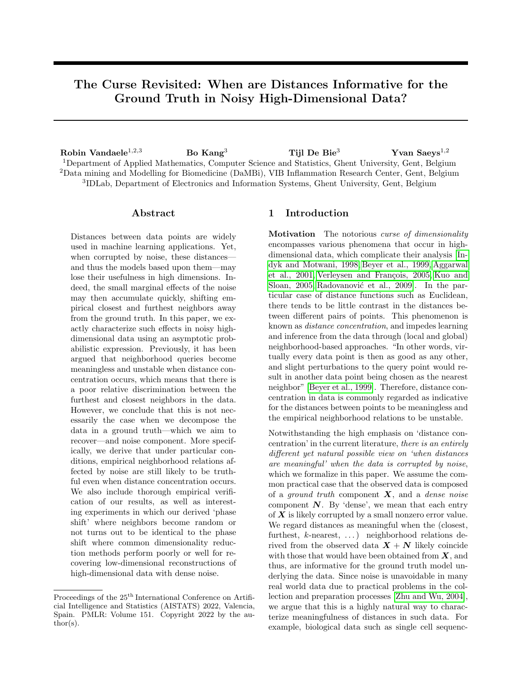and

$$
\sigma^{2}(z(d)) = \sum_{i=1}^{d} \text{Var}(z_{i})
$$
  
=  $2d (\mu'_{4} + 3\sigma^{4})$   
+  $8\sigma^{2} (\Vert x^{(d)} - y^{(d)} \Vert^{2} + \Vert x^{(d)} - z^{(d)} \Vert^{2})$   
-  $\langle x^{(d)} - y^{(d)}, x^{(d)} - z^{(d)} \rangle ).$ 

Also observe that

$$
\|x^{(d)} - y^{(d)}\|^2 + \|x^{(d)} - z^{(d)}\|^2
$$
  

$$
- \langle x^{(d)} - y^{(d)}, x^{(d)} - z^{(d)} \rangle
$$
  

$$
\geq \|x^{(d)} - y^{(d)}\|^2 + \|x^{(d)} - z^{(d)}\|^2
$$
  

$$
- \|x^{(d)} - y^{(d)}\| \|x^{(d)} - z^{(d)}\|
$$
  

$$
= ( \|x^{(d)} - y^{(d)}\| - \|x^{(d)} - z^{(d)}\| )^2
$$
  

$$
+ \|x^{(d)} - y^{(d)}\| \|x^{(d)} - z^{(d)}\|
$$
  

$$
\geq \|x^{(d)} - y^{(d)}\| \|x^{(d)} - z^{(d)}\| ,
$$

which is used for Remark [2.2](#page-3-3) in the main paper. Now for  $\epsilon > 0$ , let

$$
A_{i,\epsilon} \coloneqq \{(\mathbf{n}_{x_i}, \mathbf{n}_{y_i}, \mathbf{n}_{z_i}) : |\mathbf{z}_i - \mathsf{E}(\mathbf{z}_i)| > \epsilon \sigma(\mathbf{z}(d))\},\,
$$

and

$$
C_d(\epsilon) \coloneq \frac{1}{12} \left( \sqrt{\frac{36 \Delta_\infty^2(d) + 24 \epsilon \sigma\left(\mathbf{z}(d)\right)}{\Delta D}} - 6 \Delta_\infty(d) \right).
$$

For any  $\epsilon > 0$  and  $M \geq \sqrt{\frac{6}{\epsilon}}$ , by [\(1\)](#page-2-3), we find that for d sufficiently large

$$
C_d(\epsilon) \ge \frac{\sqrt{24\epsilon} - \frac{6}{M}}{12} \sqrt{\sigma (z(d))}
$$
(6)  

$$
\ge \frac{2\sqrt{6\epsilon} - \sqrt{6\epsilon}}{12} \sqrt{\sigma (z(d))} = \frac{\sqrt{6\epsilon}}{12} \sqrt{\sigma (z(d))},
$$
(7)

so that in particular  $\lim_{d\to\infty}C_d(\epsilon)=+\infty.$  If now

$$
\max\{|\mathbf{n}_{x_i}|, |\mathbf{n}_{y_i}|, |\mathbf{n}_{z_i}|\} \le C_d(\epsilon),
$$

we find that for  $i = 1, \ldots, d$ ,

$$
|z_i - \mathsf{E}(z_i)|
$$
  
\n
$$
\leq |n_{y_i}|^2 + |n_{z_i}|^2 + 2|n_{x_i}||n_{y_i}| + 2|n_{x_i}||n_{z_i}|
$$
  
\n
$$
+ 2(|n_{x_i}| + |n_{y_i}| + |n_{z_i}|)\Delta_{\infty}(d)
$$
  
\n
$$
\leq 6C_d(\epsilon)^2 + 6\Delta_{\infty}(d)C_d(\epsilon)
$$
  
\n
$$
\leq \frac{1}{24} \left(72\Delta_{\infty}^2(d) + 24\epsilon\sigma (z(d)) - 12\Delta_{\infty}(d)\sqrt{D}\right)
$$
  
\n
$$
+ \frac{1}{2} \left(\Delta_{\infty}(d)\sqrt{D} - 6\Delta_{\infty}^2(d)\right)
$$
  
\n
$$
= \epsilon\sigma (z(d)).
$$

This shows that

$$
A_{i,\epsilon} \qquad f(n_{x_i}, n_{y_i}, n_{z_i}) : \max f[n_{x_i}/j, n_{y_i}/j, n_{z_i}/g > C_d(\epsilon)g
$$
  
=:  $\tilde{A}_{i,\epsilon}$ .

Observe that for every  $i, k, l \in \mathbb{N}^*$ , we have

$$
\mathsf{E}\left(\mathbf{n}_{x_i}^{2k+1}\mathbf{n}_{y_i}^l\mathbf{1}_{\widetilde{\mathsf{A}}_{i,\epsilon}}\right)
$$
\n
$$
= \mathsf{E}\left(\mathbf{n}_{x_i}^{2k+1}\right)\mathsf{E}\left(\mathbf{n}_{y_i}^l\right)
$$
\n
$$
- \mathsf{E}\left(\mathbf{n}_{x_i}^{2k+1}\mathbf{1}_{\left(\widetilde{\mathsf{A}}_{i,\epsilon}\right)^c}\right)\mathsf{E}\left(\mathbf{n}_{y_i}^l\mathbf{1}_{\left(\widetilde{\mathsf{A}}_{i,\epsilon}\right)^c}\right)
$$
\n
$$
= 0.
$$

Again, due to symmetry, we thus have

$$
\begin{aligned} &\mathrm{E}\left(\left(\mathrm{r}_{x_i,y_i}^2-\mathrm{r}_{x_i,z_i}^2\right)\mathbf{1}_{\widetilde{\mathsf{A}}_{i,\epsilon}}\right)\\ &=\left(\delta_i^2(\boldsymbol{x},\boldsymbol{y})-\delta_i^2(\boldsymbol{x},\boldsymbol{z})\right)P\left(\widetilde{\mathsf{A}}_{i,\epsilon}\right).\end{aligned}
$$

Furthermore, we have

$$
\mathsf{E}\left(\mathbf{r}_{x_i,y_i}^4\mathbf{1}_{\widetilde{\mathsf{A}}_{i,\epsilon}}\right) = 2\mathsf{E}\left(\mathbf{n}_{x_i}^4\mathbf{1}_{\widetilde{\mathsf{A}}_{i,\epsilon}}\right) + 6\mathsf{E}\left(\mathbf{n}_{x_i}^2\mathbf{n}_{y_i}^2\mathbf{1}_{\widetilde{\mathsf{A}}_{i,\epsilon}}\right) + 12\delta_i^2(\boldsymbol{x},\boldsymbol{y})\mathsf{E}\left(\mathbf{n}_{x_i}^2\mathbf{1}_{\widetilde{\mathsf{A}}_{i,\epsilon}}\right) + \delta_i(\boldsymbol{x},\boldsymbol{y})^4 P\left(\widetilde{\mathsf{A}}_{i,\epsilon}\right),
$$

<span id="page-12-0"></span>and

$$
\mathsf{E}\left((\mathbf{r}_{x_i,y_i}^2\mathbf{r}_{x_i,z_i}^2)\mathbf{1}_{\widetilde{\mathsf{A}}_{i,\epsilon}}\right) \n= \mathsf{E}\left(\mathbf{n}_{x_i}^4\mathbf{1}_{\widetilde{\mathsf{A}}_{i,\epsilon}}\right) + 3\mathsf{E}\left(\mathbf{n}_{x_i}^2\mathbf{n}_{y_i}^2\mathbf{1}_{\widetilde{\mathsf{A}}_{i,\epsilon}}\right) \n+ 2\left(\delta_i(\mathbf{x},\mathbf{y}) + \delta_i(\mathbf{x},\mathbf{z})\right)^2 \mathsf{E}\left(\mathbf{n}_{x_i}^2\mathbf{1}_{\widetilde{\mathsf{A}}_{i,\epsilon}}\right) \n+ \delta_i(\mathbf{x},\mathbf{y})^2\delta_i(\mathbf{x},\mathbf{z})^2 P\left(\widetilde{\mathsf{A}}_{i,\epsilon}\right).
$$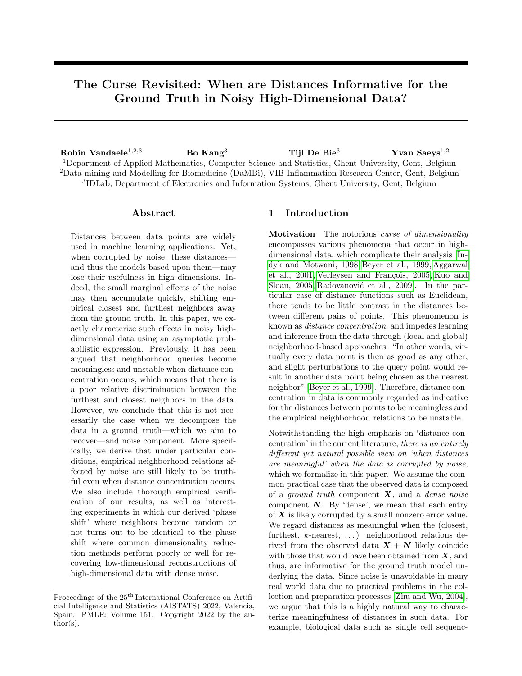Putting things together, we have

$$
\begin{split}\n&\text{E}\left((z_i - \text{E}(z_i))^2 \mathbf{1}_{\mathsf{A}_{i,\epsilon}}\right) \\
&\leq \text{E}\left(z_i - \text{E}(z_i))^2 \mathbf{1}_{\widetilde{\mathsf{A}}_{i,\epsilon}}\right) \\
&= \text{E}\left((\mathbf{r}_{x_i,y_i}^2 - \mathbf{r}_{x_i,z_i}^2)^2 \mathbf{1}_{\widetilde{\mathsf{A}}_{i,\epsilon}}\right) \\
&- 2\text{E}(\mathbf{x}_i)\text{E}\left((\mathbf{r}_{x_i,y_i}^2 - \mathbf{r}_{x_i,z_i}^2) \mathbf{1}_{\widetilde{\mathsf{A}}_{i,\epsilon}}\right) \\
&+ \text{E}(z_i)^2 P\left(\widetilde{\mathsf{A}}_{i,\epsilon}\right) \\
&= \text{E}\left(\mathbf{r}_{x_i,y_i}^4 \mathbf{1}_{\widetilde{\mathsf{A}}_{i,\epsilon}}\right) + \text{E}\left(\mathbf{r}_{x_i,z_i}^4 \mathbf{1}_{\widetilde{\mathsf{A}}_{i,\epsilon}}\right) \\
&- 2\text{E}\left((\mathbf{r}_{x_i,y_i}^2 \mathbf{r}_{x_i,z_i}^2) \mathbf{1}_{\widetilde{\mathsf{A}}_{i,\epsilon}}\right) \\
&+ \text{E}(z_i) P\left(\widetilde{\mathsf{A}}_{i,\epsilon}\right)\left(\text{E}(z_i) - 2\left(\delta_i^2(\boldsymbol{x}, \boldsymbol{y}) - \delta_i^2(\boldsymbol{x}, \boldsymbol{z})\right)\right) \\
&= 2\text{E}\left(\mathbf{n}_{x_i}^4 \mathbf{1}_{\widetilde{\mathsf{A}}_{i,\epsilon}}\right) + 6\text{E}\left(\mathbf{n}_{x_i}^2 \mathbf{n}_{y_i}^2 \mathbf{1}_{\widetilde{\mathsf{A}}_{i,\epsilon}}\right) \\
&+ 8\left(\delta_i^2(\boldsymbol{x}, \boldsymbol{y}) + \delta_i^2(\boldsymbol{x}, \boldsymbol{z}) - \delta_i(\boldsymbol{x}, \boldsymbol{y})\delta_i(\boldsymbol{x}, \boldsymbol{z})\right) \\
&\times \text{E}\left(\mathbf{n}_{x_i}^2 \mathbf{1}_{\widetilde{\mathsf{A}}_{i,\epsilon}}\right) \\
&+ \delta_i^2(\boldsymbol{x}, \boldsymbol{y})\delta_i^2(\boldsymbol{x}, \boldsymbol{z})P\left(\widet
$$

Now since for each  $j, k, l \in \mathbb{N}$ , it holds that

$$
\begin{split} & \mathsf{E} \left( \mathbf{n}_{x_i}^{2j} \mathbf{n}_{y_i}^{2k} \mathbf{n}_{z_i}^{2l} \mathbf{1}_{\widetilde{\mathsf{A}}_{i,\epsilon}} \right) \\ &\leq \mathsf{E} \left( \mathbf{n}_{x_i}^{2j} \mathbf{1}_{|\mathbf{n}_{x_i}| > C_d(\epsilon)} \right) \mathsf{E} \left( \mathbf{n}_{y_i}^{2k} \right) \mathsf{E} \left( \mathbf{n}_{z_i}^{2l} \right) \\ &+ \mathsf{E} \left( \mathbf{n}_{y_i}^{2k} \mathbf{1}_{|\mathbf{n}_{y_i}| > C_d(\epsilon)} \right) \mathsf{E} \left( \mathbf{n}_{x_i}^{2j} \right) \mathsf{E} \left( \mathbf{n}_{z_i}^{2l} \right) \\ &+ \mathsf{E} \left( \mathbf{n}_{z_i}^{2l} \mathbf{1}_{|\mathbf{n}_{z_i}| > C_d(\epsilon)} \right) \mathsf{E} \left( \mathbf{n}_{z_i}^{2j} \right) \mathsf{E} \left( \mathbf{n}_{y_i}^{2k} \right), \end{split}
$$

we find that

$$
\begin{split}\n&\text{E}\left((z_i - \text{E}(z_i))^2 \mathbf{1}_{A_{i,\epsilon}}\right) \\
&\leq 2\text{E}\left(\mathbf{n}_{x_i}^4 \mathbf{1}_{|\mathbf{n}_{x_i}| > C_d(\epsilon)}\right) \\
&+ 4\mu_4' P\left(|\mathbf{n}_{x_i}| > C_d(\epsilon)\right) \\
&+ 12\sigma^2 \text{E}\left(\mathbf{n}_{x_i}^2 \mathbf{1}_{|\mathbf{n}_{x_i}| > C_d(\epsilon)}\right) \\
&+ 6\sigma^4 P\left(|\mathbf{n}_{x_i}| > C_d(\epsilon)\right) \\
&+ 8\left(\delta_i^2(\mathbf{x}, \mathbf{y}) + \delta_i^2(\mathbf{x}, \mathbf{z}) - \delta_i(\mathbf{x}, \mathbf{y})\delta_i(\mathbf{x}, \mathbf{z})\right) \\
&\times \left(\text{E}\left(\mathbf{n}_{x_i}^2 \mathbf{1}_{|\mathbf{n}_{x_i}| > C_d(\epsilon)}\right) + 2\sigma^2 P\left(|\mathbf{n}_{x_i}| > C_d(\epsilon)\right)\right) \\
&+ 3\delta_i^2(\mathbf{x}, \mathbf{y})\delta_i^2(\mathbf{x}, \mathbf{z})P\left(|\mathbf{n}_{x_i}| > C_d(\epsilon)\right) \\
&\leq 2\text{E}\left(\mathbf{n}_{x_i}^4 \mathbf{1}_{|\mathbf{n}_{x_i}| > C_d(\epsilon)}\right) + 12\sigma^2 \text{E}\left(\mathbf{n}_{x_i}^2 \mathbf{1}_{|\mathbf{n}_{x_i}| > C_d(\epsilon)}\right) \\
&+ 8\left(\delta_i^2(\mathbf{x}, \mathbf{y}) + \delta_i^2(\mathbf{x}, \mathbf{z}) - \delta_i(\mathbf{x}, \mathbf{y})\delta_i(\mathbf{x}, \mathbf{z})\right) \\
&\times \text{E}\left(\mathbf{n}_{x_i}^2 \mathbf{1}_{|\mathbf{n}_{x_i}| > C_d(\epsilon)}\right) \\
&+ \left(4\mu_4' + 6\sigma^4 + 16 \max\{1, \sigma^2\} M_i\right) \\
&\times P\left(|\mathbf{n}_{x_i}| > C_d(\epsilon)\right),\n\end{split}
$$

where

$$
\begin{aligned} M_i &\coloneqq \delta_i^2(\bm{x},\bm{y}) + \delta_i^2(\bm{x},\bm{z}) - \delta_i(\bm{x},\bm{y})\delta_i(\bm{x},\bm{z}) \\ &+ \delta_i^2(\bm{x},\bm{y})\delta_i^2(\bm{x},\bm{z}). \end{aligned}
$$

Summing over  $i = 1, \ldots, d$ , we find that

$$
\frac{1}{\sigma^2(z(d))} \sum_{i=1}^d \mathbb{E} \left( \mathbf{n}_{x_i}^4 \mathbf{1}_{|\mathbf{n}_{x_i}| > C_d(\epsilon)} \right)
$$
  
 
$$
\leq \frac{d \mathbb{E} \left( \mathbf{n}_{x_1}^4 \mathbf{1}_{|\mathbf{n}_{x_1}| > C_d(\epsilon)} \right)}{\sigma^2 (2d(\mu'_4 + 3\sigma^4))} \stackrel{d \to \infty}{\longrightarrow} 0,
$$

since  $\mu'_4$  is finite and  $C_d(\epsilon) \stackrel{d \to \infty}{\longrightarrow} +\infty$ . Analogously, we have

$$
\frac{1}{\sigma^2(z(d))}\sum_{i=1}^d \mathsf{E}\left(\mathbf{n}_{x_i}^2 \mathbf{1}_{|\mathbf{n}_{x_i}|>C_d(\epsilon)}\right) \stackrel{d\to\infty}{\longrightarrow} 0.
$$

We also have

$$
\frac{1}{\sigma^2(z(d))}\sum_{i=1}^d \left(\delta_i^2(\boldsymbol{x}, \boldsymbol{y}) + \delta_i^2(\boldsymbol{x}, \boldsymbol{z}) - \delta_i(\boldsymbol{x}, \boldsymbol{y})\delta_i(\boldsymbol{x}, \boldsymbol{z})\right) \times \mathbb{E}\left(\mathbf{n}_{x_i}^2 \mathbf{1}_{|\mathbf{n}_{x_i}| > C_d(\epsilon)}\right) \times \frac{1}{8\sigma^2} \mathbb{E}\left(\mathbf{n}_{x_1}^2 \mathbf{1}_{|\mathbf{n}_{x_1}| > C_d(\epsilon)}\right) \stackrel{d \to \infty}{\longrightarrow} 0.
$$

Finally, we have that

$$
\frac{1}{\sigma^2(z(d))}\sum_{i=1}^d M_i P\left(|\mathbf{n}_{x_i}| > C_d(\epsilon)\right) \stackrel{d \to \infty}{\longrightarrow} 0.
$$

Indeed, given the observation above, it suffices to show that

$$
P\left(|\mathrm{n}_{x_1}|>C_{d}(\epsilon)\right)\frac{\sum_{i=1}^d \delta_i^2(\boldsymbol{x},\boldsymbol{y})\delta_i^2(\boldsymbol{x},\boldsymbol{z})}{\sigma^2\left(z(d)\right)}\stackrel{d\to\infty}{\longrightarrow} 0.
$$

Using Markov's inequality, [\(1\)](#page-2-3), and [\(6\)](#page-12-0), this follows from the fact that for  $d$  sufficiently large

$$
P(|\mathbf{n}_{x_1}| > C_d(\epsilon)) \frac{\sum_{i=1}^d \delta_i^2(\mathbf{x}, \mathbf{y}) \delta_i^2(\mathbf{x}, \mathbf{z})}{\sigma^2 (\mathbf{z}^{(d)})}
$$
  
\n
$$
\leq \frac{E(|\mathbf{n}_{x_1}|) d\Delta_{\infty}^4(d)}{C_d(\epsilon)\sigma^2 (\mathbf{z}(d))}
$$
  
\n
$$
\leq \frac{12E(|\mathbf{n}_{x_1}|) d\Delta_{\infty}^4(d)}{\sqrt{6\epsilon}\sigma^{\frac{5}{2}} (\mathbf{z}(d))} \xrightarrow{d \to \infty} 0.
$$

We conclude that

$$
\lim_{d \to \infty} \frac{1}{\sigma^2(z(d))} \mathsf{E}\left( (z_i - \mathsf{E}(z_i))^2 \mathbf{1}_{A_{i,\epsilon}} \right) = 0,
$$

and this for every  $\epsilon > 0$ . Hence, Linderberg's condition is satisfied, so that we may apply the central limit theorem to  $z(d)$ , i.e.,

$$
\frac{z(d) - \mu(z(d))}{\sigma(z(d))} \xrightarrow{d \to \infty} p \mathcal{N}(0, 1).
$$